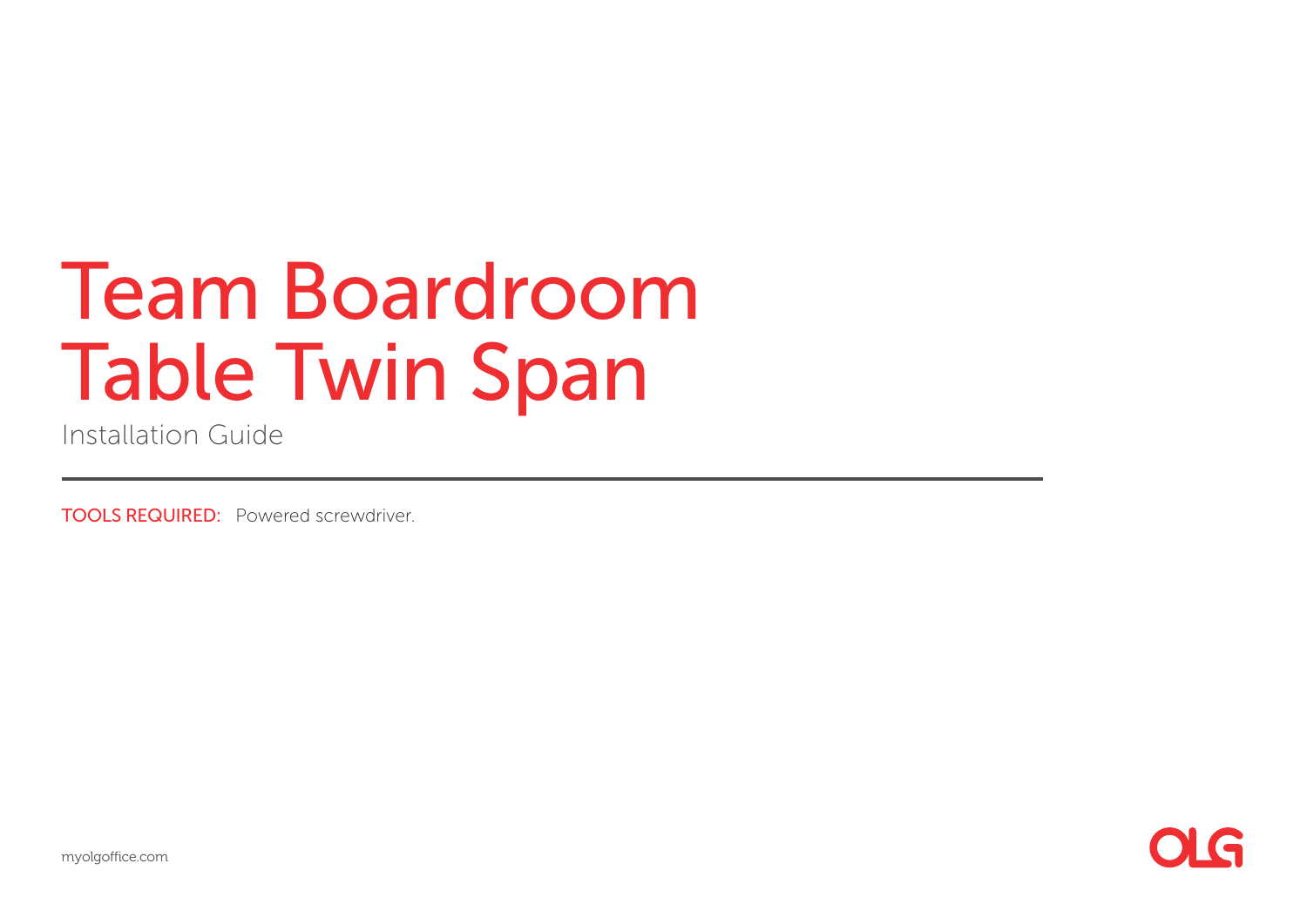Installation Guide

TOOLS REQUIRED: Powered screwdriver.

myolgoffice.com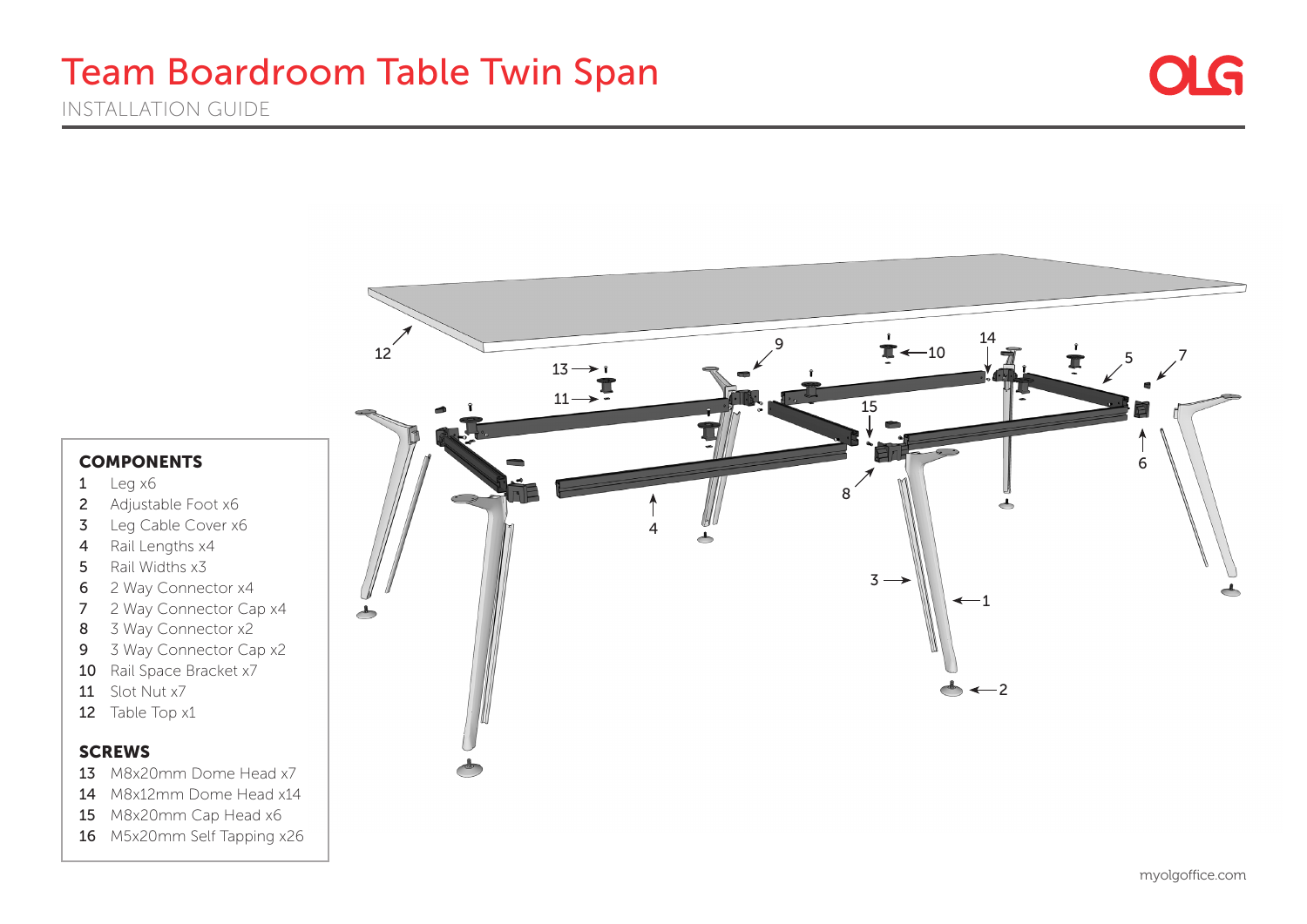



#### **COMPONENTS**

- $1$  Leg  $x6$
- 2 Adjustable Foot x6
- 3 Leg Cable Cover x6
- 4 Rail Lengths x4
- 5 Rail Widths x3
- 6 2 Way Connector x4
- 7 2 Way Connector Cap x4
- 8 3 Way Connector x2
- 9 3 Way Connector Cap x2
- 10 Rail Space Bracket x7
- 11 Slot Nut x7
- 12 Table Top x1

#### **SCREWS**

- 13 M8x20mm Dome Head x7
- 14 M8x12mm Dome Head x14
- 15 M8x20mm Cap Head x6
- 16 M5x20mm Self Tapping x26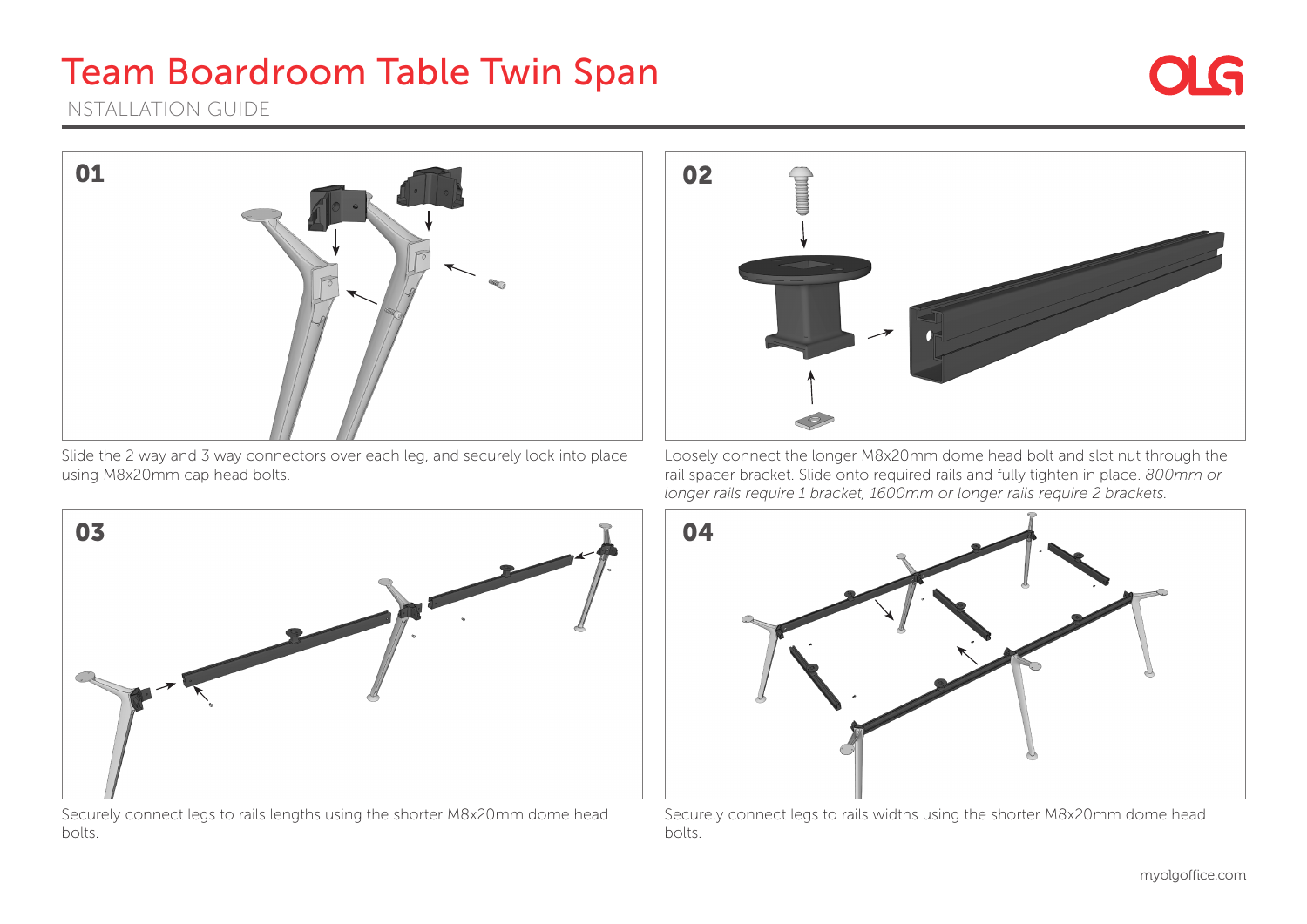INSTALLATION GUIDE



Slide the 2 way and 3 way connectors over each leg, and securely lock into place using M8x20mm cap head bolts.



Loosely connect the longer M8x20mm dome head bolt and slot nut through the rail spacer bracket. Slide onto required rails and fully tighten in place. *800mm or longer rails require 1 bracket, 1600mm or longer rails require 2 brackets.*



Securely connect legs to rails lengths using the shorter M8x20mm dome head bolts.



Securely connect legs to rails widths using the shorter M8x20mm dome head bolts.